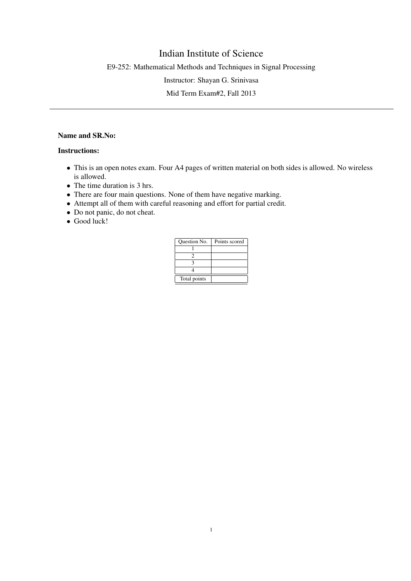## Indian Institute of Science

E9-252: Mathematical Methods and Techniques in Signal Processing

Instructor: Shayan G. Srinivasa

Mid Term Exam#2, Fall 2013

## Name and SR.No:

## Instructions:

- This is an open notes exam. Four A4 pages of written material on both sides is allowed. No wireless is allowed.
- The time duration is 3 hrs.
- There are four main questions. None of them have negative marking.
- Attempt all of them with careful reasoning and effort for partial credit.
- Do not panic, do not cheat.
- Good luck!

| Question No. | Points scored |
|--------------|---------------|
|              |               |
|              |               |
|              |               |
|              |               |
| Total points |               |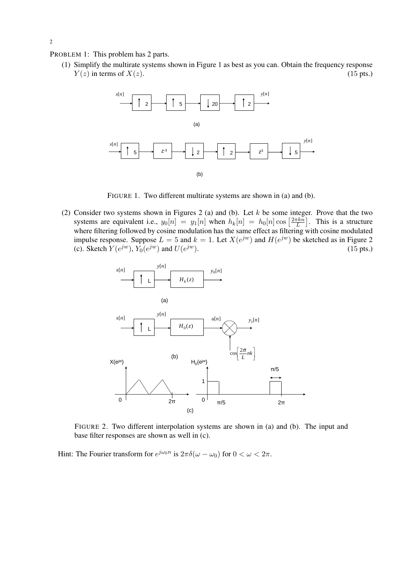PROBLEM 1: This problem has 2 parts.

(1) Simplify the multirate systems shown in Figure 1 as best as you can. Obtain the frequency response  $Y(z)$  in terms of  $X(z)$ . (15 pts.)



FIGURE 1. Two different multirate systems are shown in (a) and (b).

(2) Consider two systems shown in Figures 2 (a) and (b). Let  $k$  be some integer. Prove that the two systems are equivalent i.e.,  $y_0[n] = y_1[n]$  when  $h_k[n] = h_0[n] \cos \left[\frac{2\pi kn}{L}\right]$  $\left[\frac{\pi k n}{L}\right]$ . This is a structure where filtering followed by cosine modulation has the same effect as filtering with cosine modulated impulse response. Suppose  $L = 5$  and  $k = 1$ . Let  $X(e^{jw})$  and  $H(e^{jw})$  be sketched as in Figure 2 (c). Sketch  $Y(e^{jw})$ ,  $Y_0(e^{jw})$  and  $U(e^{jw})$  $(15 \text{ pts.})$ 



FIGURE 2. Two different interpolation systems are shown in (a) and (b). The input and base filter responses are shown as well in (c).

Hint: The Fourier transform for  $e^{j\omega_0 n}$  is  $2\pi\delta(\omega-\omega_0)$  for  $0<\omega< 2\pi$ .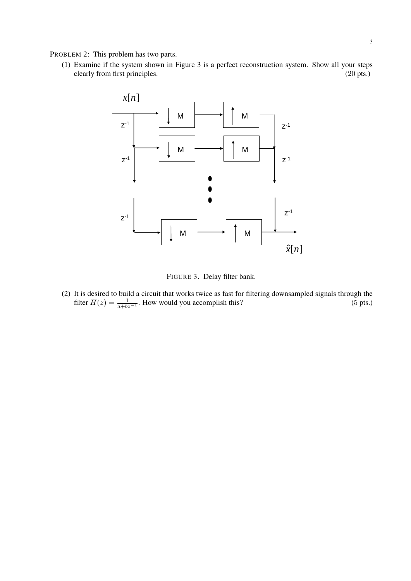PROBLEM 2: This problem has two parts.

(1) Examine if the system shown in Figure 3 is a perfect reconstruction system. Show all your steps clearly from first principles. (20 pts.)



FIGURE 3. Delay filter bank.

(2) It is desired to build a circuit that works twice as fast for filtering downsampled signals through the filter  $H(z) = \frac{1}{a+bz^{-1}}$ . How would you accomplish this? (5 pts.)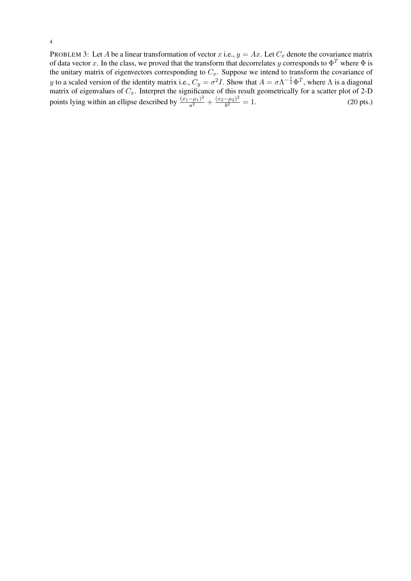PROBLEM 3: Let A be a linear transformation of vector x i.e.,  $y = Ax$ . Let  $C_x$  denote the covariance matrix of data vector x. In the class, we proved that the transform that decorrelates y corresponds to  $\Phi^T$  where  $\Phi$  is the unitary matrix of eigenvectors corresponding to  $C_x$ . Suppose we intend to transform the covariance of y to a scaled version of the identity matrix i.e.,  $C_y = \sigma^2 I$ . Show that  $A = \sigma \Lambda^{-\frac{1}{2}} \Phi^T$ , where  $\Lambda$  is a diagonal matrix of eigenvalues of  $C_x$ . Interpret the significance of this result geometrically for a scatter plot of 2-D points lying within an ellipse described by  $\frac{(x_1-\mu_1)^2}{a^2}$  $\frac{(-\mu_1)^2}{a^2} + \frac{(x_2-\mu_2)^2}{b^2}$  $\frac{-\mu_2}{b^2} = 1.$  (20 pts.)